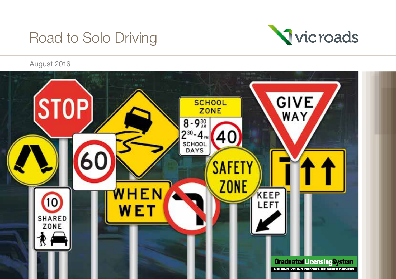# Road to Solo Driving



August 2016

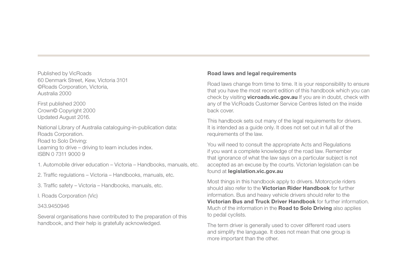Published by VicRoads 60 Denmark Street, Kew, Victoria 3101 ©Roads Corporation, Victoria, Australia 2000

First published 2000 Crown© Copyright 2000 Updated August 2016.

National Library of Australia cataloguing-in-publication data: Roads Corporation. Road to Solo Driving: Learning to drive – driving to learn includes index. ISBN 0 7311 9000 9

1. Automobile driver education – Victoria – Handbooks, manuals, etc.

2. Traffic regulations – Victoria – Handbooks, manuals, etc.

3. Traffic safety – Victoria – Handbooks, manuals, etc.

I. Roads Corporation (Vic)

#### 343.9450946

Several organisations have contributed to the preparation of this handbook, and their help is gratefully acknowledged.

#### Road laws and legal requirements

Road laws change from time to time. It is your responsibility to ensure that you have the most recent edition of this handbook which you can check by visiting **vicroads.vic.gov.au** If you are in doubt, check with any of the VicRoads Customer Service Centres listed on the inside back cover.

This handbook sets out many of the legal requirements for drivers. It is intended as a guide only. It does not set out in full all of the requirements of the law.

You will need to consult the appropriate Acts and Regulations if you want a complete knowledge of the road law. Remember that ignorance of what the law says on a particular subject is not accepted as an excuse by the courts. Victorian legislation can be found at legislation.vic.gov.au

Most things in this handbook apply to drivers. Motorcycle riders should also refer to the Victorian Rider Handbook for further information. Bus and heavy vehicle drivers should refer to the Victorian Bus and Truck Driver Handbook for further information. Much of the information in the **Road to Solo Driving** also applies to pedal cyclists.

The term driver is generally used to cover different road users and simplify the language. It does not mean that one group is more important than the other.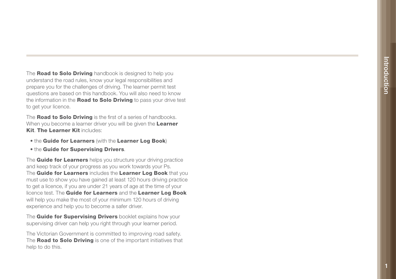The **Road to Solo Driving** handbook is designed to help you understand the road rules, know your legal responsibilities and prepare you for the challenges of driving. The learner permit test questions are based on this handbook. You will also need to know the information in the **Road to Solo Driving** to pass your drive test to get your licence.

The **Road to Solo Driving** is the first of a series of handbooks. When you become a learner driver you will be given the Learner Kit. The Learner Kit includes:

- the Guide for Learners (with the Learner Log Book)
- **. the Guide for Supervising Drivers.**

The **Guide for Learners** helps you structure your driving practice and keep track of your progress as you work towards your Ps. The Guide for Learners includes the Learner Log Book that you must use to show you have gained at least 120 hours driving practice to get a licence, if you are under 21 years of age at the time of your licence test. The Guide for Learners and the Learner Log Book will help you make the most of your minimum 120 hours of driving experience and help you to become a safer driver.

The Guide for Supervising Drivers booklet explains how your supervising driver can help you right through your learner period.

The Victorian Government is committed to improving road safety. The Road to Solo Driving is one of the important initiatives that help to do this.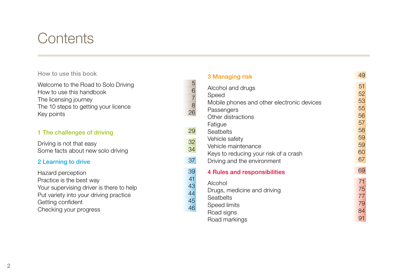# **Contents**

# 1 The challenges of driving 29 Seats 29 Seats 29

### 2 Learning to drive

| How to use this book                                                                                                                                                               |                                  | 3 Managing risk                                                                                                                    | 49                                     |
|------------------------------------------------------------------------------------------------------------------------------------------------------------------------------------|----------------------------------|------------------------------------------------------------------------------------------------------------------------------------|----------------------------------------|
| Welcome to the Road to Solo Driving<br>How to use this handbook<br>The licensing journey<br>The 10 steps to getting your licence<br>Key points                                     | 5<br>6<br>8<br>26                | Alcohol and drugs<br>Speed<br>Mobile phones and other electronic devices<br>Passengers<br>Other distractions                       | 51<br>52<br>53<br>55<br>56<br>57       |
| 1 The challenges of driving                                                                                                                                                        | 29                               | Fatigue<br>Seatbelts                                                                                                               | 58                                     |
| Driving is not that easy<br>Some facts about new solo driving<br>2 Learning to drive                                                                                               | 32<br>34<br>37                   | Vehicle safety<br>Vehicle maintenance<br>Keys to reducing your risk of a crash<br>Driving and the environment                      | 59<br>59<br>60<br>67                   |
| Hazard perception<br>Practice is the best way<br>Your supervising driver is there to help<br>Put variety into your driving practice<br>Getting confident<br>Checking your progress | 39<br>41<br>43<br>44<br>45<br>46 | 4 Rules and responsibilities<br>Alcohol<br>Drugs, medicine and driving<br>Seatbelts<br>Speed limits<br>Road signs<br>Road markings | 69<br>71<br>75<br>77<br>79<br>84<br>91 |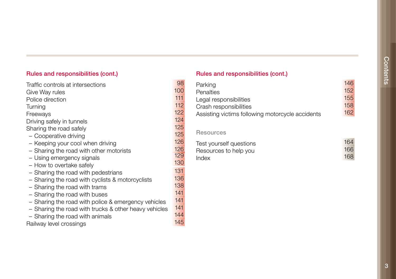### Rules and responsibilities (cont.) Rules and responsibilities (cont.)

| Traffic controls at intersections                     | ୱ୪  | Parking                                          | 146 |
|-------------------------------------------------------|-----|--------------------------------------------------|-----|
| Give Way rules                                        | 100 | Penalties                                        | 152 |
| Police direction                                      | 111 | Legal responsibilities                           | 155 |
| Turning                                               | 112 | Crash responsibilities                           | 158 |
| Freeways                                              | 122 | Assisting victims following motorcycle accidents | 162 |
| Driving safely in tunnels                             | 124 |                                                  |     |
| Sharing the road safely                               | 125 |                                                  |     |
| - Cooperative driving                                 | 125 | <b>Resources</b>                                 |     |
| - Keeping your cool when driving                      | 126 | Test yourself questions                          | 164 |
| - Sharing the road with other motorists               | 126 | Resources to help you                            | 166 |
| - Using emergency signals                             | 129 | Index                                            | 168 |
| - How to overtake safely                              | 130 |                                                  |     |
| - Sharing the road with pedestrians                   | 131 |                                                  |     |
| - Sharing the road with cyclists & motorcyclists      | 136 |                                                  |     |
| - Sharing the road with trams                         | 138 |                                                  |     |
| - Sharing the road with buses                         | 141 |                                                  |     |
| - Sharing the road with police & emergency vehicles   | 141 |                                                  |     |
| - Sharing the road with trucks & other heavy vehicles | 141 |                                                  |     |
| - Sharing the road with animals                       | 144 |                                                  |     |
| Railway level crossings                               | 145 |                                                  |     |

| Traffic controls at intersections | 98  | Parking                                          | 146 |
|-----------------------------------|-----|--------------------------------------------------|-----|
| Give Way rules                    | 100 | Penalties                                        | 152 |
| Police direction                  | 111 | Legal responsibilities                           | 155 |
| Turnina                           | 112 | Crash responsibilities                           | 158 |
| Freewavs                          | 122 | Assisting victims following motorcycle accidents | 162 |
|                                   | .   |                                                  |     |

| Test yourself questions | 164 |
|-------------------------|-----|
| Resources to help you   | 166 |
|                         | 168 |
|                         |     |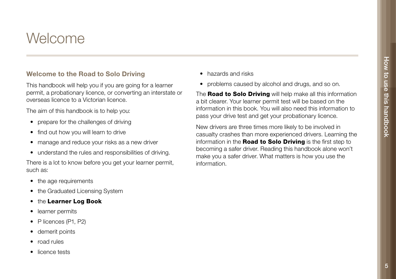# Welcome

### Welcome to the Road to Solo Driving

This handbook will help you if you are going for a learner permit, a probationary licence, or converting an interstate or overseas licence to a Victorian licence.

The aim of this handbook is to help you:

- prepare for the challenges of driving
- find out how you will learn to drive
- manage and reduce your risks as a new driver
- understand the rules and responsibilities of driving.

There is a lot to know before you get your learner permit, such as:

- the age requirements
- the Graduated Licensing System
- the Learner Log Book
- learner permits
- P licences (P1, P2)
- demerit points
- road rules
- licence tests
- hazards and risks
- problems caused by alcohol and drugs, and so on.

The **Road to Solo Driving** will help make all this information a bit clearer. Your learner permit test will be based on the information in this book. You will also need this information to pass your drive test and get your probationary licence.

New drivers are three times more likely to be involved in casualty crashes than more experienced drivers. Learning the information in the Road to Solo Driving is the first step to becoming a safer driver. Reading this handbook alone won't make you a safer driver. What matters is how you use the information.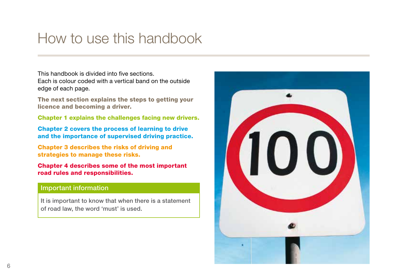# How to use this handbook

This handbook is divided into five sections. Each is colour coded with a vertical band on the outside edge of each page.

The next section explains the steps to getting your licence and becoming a driver.

Chapter 1 explains the challenges facing new drivers.

Chapter 2 covers the process of learning to drive and the importance of supervised driving practice.

Chapter 3 describes the risks of driving and strategies to manage these risks.

Chapter 4 describes some of the most important road rules and responsibilities.

#### Important information

It is important to know that when there is a statement of road law, the word 'must' is used.

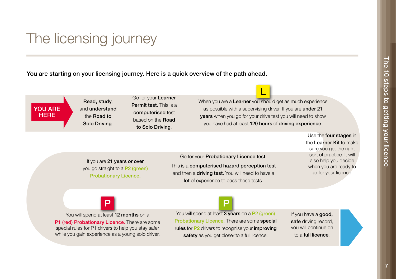# The licensing journey

You are starting on your licensing journey. Here is a quick overview of the path ahead.

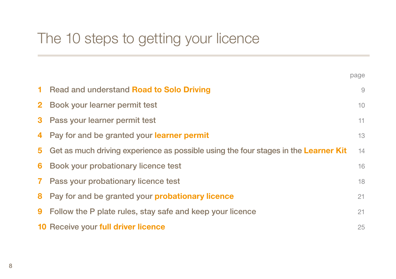|              |                                                                                     | paye |
|--------------|-------------------------------------------------------------------------------------|------|
| 1.           | Read and understand Road to Solo Driving                                            | 9    |
| $\mathbf{2}$ | Book your learner permit test                                                       | 10   |
| 3            | Pass your learner permit test                                                       | 11   |
| 4            | Pay for and be granted your learner permit                                          | 13   |
| 5.           | Get as much driving experience as possible using the four stages in the Learner Kit | 14   |
| 6            | Book your probationary licence test                                                 | 16   |
| $\mathbf{7}$ | Pass your probationary licence test                                                 | 18   |
| 8            | Pay for and be granted your <b>probationary licence</b>                             | 21   |
| 9            | Follow the P plate rules, stay safe and keep your licence                           | 21   |
|              | 10 Receive your full driver licence                                                 | 25   |

 $0.000$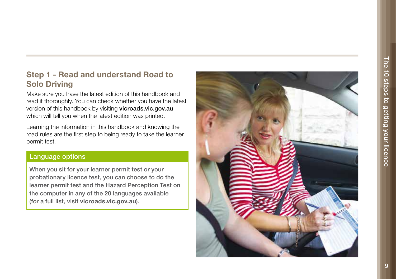# Step 1 - Read and understand Road to Solo Driving

Make sure you have the latest edition of this handbook and read it thoroughly. You can check whether you have the latest version of this handbook by visiting vicroads.vic.gov.au which will tell you when the latest edition was printed.

Learning the information in this handbook and knowing the road rules are the first step to being ready to take the learner permit test.

### Language options

When you sit for your learner permit test or your probationary licence test, you can choose to do the learner permit test and the Hazard Perception Test on the computer in any of the 20 languages available (for a full list, visit vicroads.vic.gov.au).

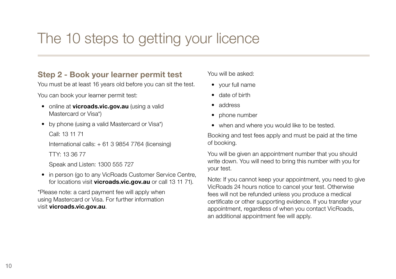# Step 2 - Book your learner permit test

You must be at least 16 years old before you can sit the test.

You can book your learner permit test:

- online at **vicroads.vic.gov.au** (using a valid Mastercard or Visa\*)
- by phone (using a valid Mastercard or Visa\*)

Call: 13 11 71

International calls: + 61 3 9854 7764 (licensing) TTY: 13 36 77

Speak and Listen: 1300 555 727

• in person (go to any VicRoads Customer Service Centre, for locations visit vicroads.vic.gov.au or call 13 11 71).

\*Please note: a card payment fee will apply when using Mastercard or Visa. For further information visit vicroads.vic.gov.au.

You will be asked:

- your full name
- date of birth
- address
- phone number
- when and where you would like to be tested.

Booking and test fees apply and must be paid at the time of booking.

You will be given an appointment number that you should write down. You will need to bring this number with you for your test.

Note: If you cannot keep your appointment, you need to give VicRoads 24 hours notice to cancel your test. Otherwise fees will not be refunded unless you produce a medical certificate or other supporting evidence. If you transfer your appointment, regardless of when you contact VicRoads, an additional appointment fee will apply.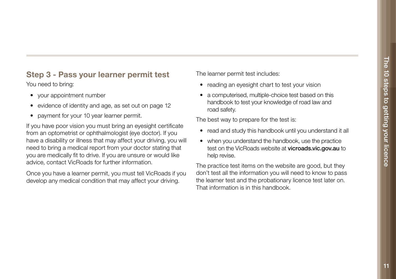# Step 3 - Pass your learner permit test

You need to bring:

- your appointment number
- evidence of identity and age, as set out on page 12
- payment for your 10 year learner permit.

If you have poor vision you must bring an eyesight certificate from an optometrist or ophthalmologist (eye doctor). If you have a disability or illness that may affect your driving, you will need to bring a medical report from your doctor stating that you are medically fit to drive. If you are unsure or would like advice, contact VicRoads for further information.

Once you have a learner permit, you must tell VicRoads if you develop any medical condition that may affect your driving.

The learner permit test includes:

- reading an eyesight chart to test your vision
- a computerised, multiple-choice test based on this handbook to test your knowledge of road law and road safety.

The best way to prepare for the test is:

- read and study this handbook until you understand it all
- when you understand the handbook, use the practice test on the VicRoads website at vicroads.vic.gov.au to help revise.

The practice test items on the website are good, but they don't test all the information you will need to know to pass the learner test and the probationary licence test later on. That information is in this handbook.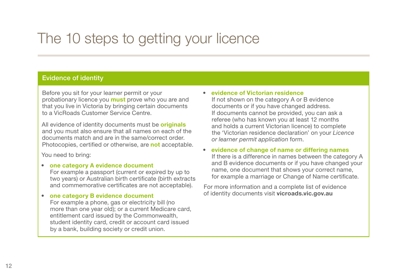### Evidence of identity

Before you sit for your learner permit or your probationary licence you **must** prove who you are and that you live in Victoria by bringing certain documents to a VicRoads Customer Service Centre.

All evidence of identity documents must be originals and you must also ensure that all names on each of the documents match and are in the same/correct order. Photocopies, certified or otherwise, are **not** acceptable.

You need to bring:

#### • one category A evidence document

For example a passport (current or expired by up to two years) or Australian birth certificate (birth extracts and commemorative certificates are not acceptable).

#### • one category B evidence document

For example a phone, gas or electricity bill (no more than one year old); or a current Medicare card, entitlement card issued by the Commonwealth, student identity card, credit or account card issued by a bank, building society or credit union.

#### • evidence of Victorian residence

If not shown on the category A or B evidence documents or if you have changed address. If documents cannot be provided, you can ask a referee (who has known you at least 12 months and holds a current Victorian licence) to complete the 'Victorian residence declaration' on your *Licence or learner permit application* form.

#### • evidence of change of name or differing names If there is a difference in names between the category A and B evidence documents or if you have changed your name, one document that shows your correct name, for example a marriage or Change of Name certificate.

For more information and a complete list of evidence of identity documents visit vicroads.vic.gov.au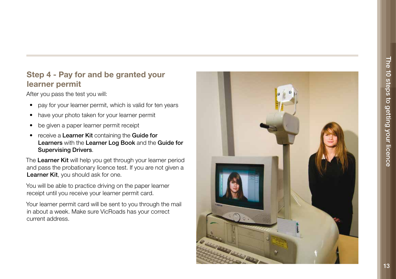# Step 4 - Pay for and be granted your learner permit

After you pass the test you will:

- pay for your learner permit, which is valid for ten years
- have your photo taken for your learner permit
- be given a paper learner permit receipt
- receive a Learner Kit containing the Guide for Learners with the Learner Log Book and the Guide for Supervising Drivers.

The Learner Kit will help you get through your learner period and pass the probationary licence test. If you are not given a Learner Kit, you should ask for one.

You will be able to practice driving on the paper learner receipt until you receive your learner permit card.

Your learner permit card will be sent to you through the mail in about a week. Make sure VicRoads has your correct current address.

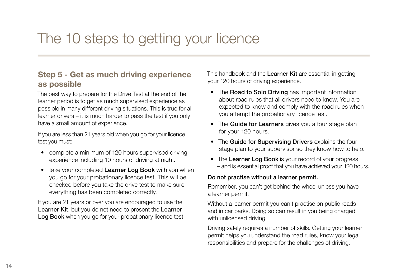# Step 5 - Get as much driving experience as possible

The best way to prepare for the Drive Test at the end of the learner period is to get as much supervised experience as possible in many different driving situations. This is true for all learner drivers – it is much harder to pass the test if you only have a small amount of experience.

If you are less than 21 years old when you go for your licence test you must:

- complete a minimum of 120 hours supervised driving experience including 10 hours of driving at night.
- take your completed Learner Log Book with you when you go for your probationary licence test. This will be checked before you take the drive test to make sure everything has been completed correctly.

If you are 21 years or over you are encouraged to use the Learner Kit, but you do not need to present the Learner Log Book when you go for your probationary licence test. This handbook and the Learner Kit are essential in getting your 120 hours of driving experience.

- The **Road to Solo Driving** has important information about road rules that all drivers need to know. You are expected to know and comply with the road rules when you attempt the probationary licence test.
- The Guide for Learners gives you a four stage plan for your 120 hours.
- The Guide for Supervising Drivers explains the four stage plan to your supervisor so they know how to help.
- The Learner Log Book is your record of your progress – and is essential proof that you have achieved your 120 hours.

#### Do not practise without a learner permit.

Remember, you can't get behind the wheel unless you have a learner permit.

Without a learner permit you can't practise on public roads and in car parks. Doing so can result in you being charged with unlicensed driving.

Driving safely requires a number of skills. Getting your learner permit helps you understand the road rules, know your legal responsibilities and prepare for the challenges of driving.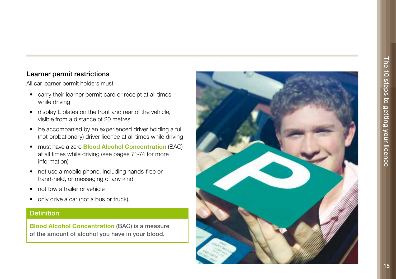### Learner permit restrictions

All car learner permit holders must:

- carry their learner permit card or receipt at all times while driving
- display L plates on the front and rear of the vehicle, visible from a distance of 20 metres
- be accompanied by an experienced driver holding a full (not probationary) driver licence at all times while driving
- must have a zero **Blood Alcohol Concentration** (BAC) at all times while driving (see pages 71-74 for more information)
- not use a mobile phone, including hands-free or hand-held, or messaging of any kind
- not tow a trailer or vehicle
- only drive a car (not a bus or truck).

### **Definition**

Blood Alcohol Concentration (BAC) is a measure of the amount of alcohol you have in your blood.

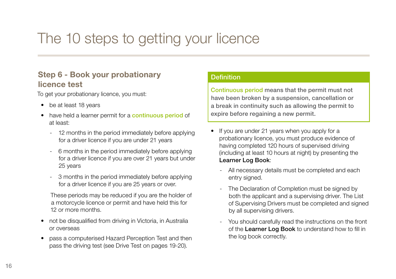## Step 6 - Book your probationary licence test

To get your probationary licence, you must:

- be at least 18 years
- have held a learner permit for a continuous period of at least:
	- 12 months in the period immediately before applying for a driver licence if you are under 21 years
	- 6 months in the period immediately before applying for a driver licence if you are over 21 years but under 25 years
	- 3 months in the period immediately before applying for a driver licence if you are 25 years or over.

These periods may be reduced if you are the holder of a motorcycle licence or permit and have held this for 12 or more months.

- not be disqualified from driving in Victoria, in Australia or overseas
- pass a computerised Hazard Perception Test and then pass the driving test (see Drive Test on pages 19-20).

### **Definition**

Continuous period means that the permit must not have been broken by a suspension, cancellation or a break in continuity such as allowing the permit to expire before regaining a new permit.

- If you are under 21 years when you apply for a probationary licence, you must produce evidence of having completed 120 hours of supervised driving (including at least 10 hours at night) by presenting the Learner Log Book:
	- All necessary details must be completed and each entry signed.
	- The Declaration of Completion must be signed by both the applicant and a supervising driver. The List of Supervising Drivers must be completed and signed by all supervising drivers.
	- You should carefully read the instructions on the front of the Learner Log Book to understand how to fill in the log book correctly.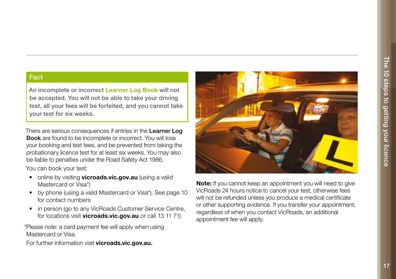#### Fact

An incomplete or incorrect Learner Log Book will not be accepted. You will not be able to take your driving test, all your fees will be forfeited, and you cannot take your test for six weeks.

There are serious consequences if entries in the Learner Log Book are found to be incomplete or incorrect. You will lose your booking and test fees, and be prevented from taking the probationary licence test for at least six weeks. You may also be liable to penalties under the Road Safety Act 1986.

You can book your test:

- online by visiting **vicroads.vic.gov.au** (using a valid Mastercard or Visa\*)
- by phone (using a valid Mastercard or Visa\*). See page 10 for contact numbers
- in person (go to any VicRoads Customer Service Centre, for locations visit vicroads.vic.gov.au or call 13 11 71).

\*Please note: a card payment fee will apply when using Mastercard or Visa.

For further information visit vicroads.vic.gov.au.



Note: If you cannot keep an appointment you will need to give VicRoads 24 hours notice to cancel your test, otherwise fees will not be refunded unless you produce a medical certificate or other supporting evidence. If you transfer your appointment, regardless of when you contact VicRoads, an additional appointment fee will apply.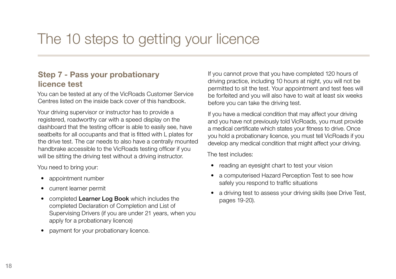# Step 7 - Pass your probationary licence test

You can be tested at any of the VicRoads Customer Service Centres listed on the inside back cover of this handbook.

Your driving supervisor or instructor has to provide a registered, roadworthy car with a speed display on the dashboard that the testing officer is able to easily see, have seatbelts for all occupants and that is fitted with L plates for the drive test. The car needs to also have a centrally mounted handbrake accessible to the VicRoads testing officer if you will be sitting the driving test without a driving instructor.

You need to bring your:

- appointment number
- current learner permit
- completed Learner Log Book which includes the completed Declaration of Completion and List of Supervising Drivers (if you are under 21 years, when you apply for a probationary licence)
- payment for your probationary licence.

If you cannot prove that you have completed 120 hours of driving practice, including 10 hours at night, you will not be permitted to sit the test. Your appointment and test fees will be forfeited and you will also have to wait at least six weeks before you can take the driving test.

If you have a medical condition that may affect your driving and you have not previously told VicRoads, you must provide a medical certificate which states your fitness to drive. Once you hold a probationary licence, you must tell VicRoads if you develop any medical condition that might affect your driving.

The test includes:

- reading an eyesight chart to test your vision
- a computerised Hazard Perception Test to see how safely you respond to traffic situations
- a driving test to assess your driving skills (see Drive Test, pages 19-20).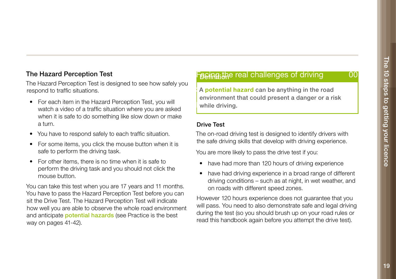### The Hazard Perception Test

The Hazard Perception Test is designed to see how safely you respond to traffic situations.

- For each item in the Hazard Perception Test, you will watch a video of a traffic situation where you are asked when it is safe to do something like slow down or make a turn.
- You have to respond safely to each traffic situation.
- For some items, you click the mouse button when it is safe to perform the driving task.
- For other items, there is no time when it is safe to perform the driving task and you should not click the mouse button.

You can take this test when you are 17 years and 11 months. You have to pass the Hazard Perception Test before you can sit the Drive Test. The Hazard Perception Test will indicate how well you are able to observe the whole road environment and anticipate **potential hazards** (see Practice is the best way on pages 41-42).

Feeinathe real challenges of driving and 00

A potential hazard can be anything in the road while driving.  $\blacksquare$ environment that could present a danger or a risk

#### Drive Test

The on-road driving test is designed to identify drivers with the safe driving skills that develop with driving experience.

You are more likely to pass the drive test if you:

- have had more than 120 hours of driving experience
- have had driving experience in a broad range of different driving conditions – such as at night, in wet weather, and on roads with different speed zones.

However 120 hours experience does not guarantee that you will pass. You need to also demonstrate safe and legal driving during the test (so you should brush up on your road rules or read this handbook again before you attempt the drive test).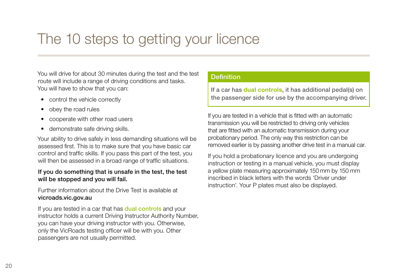You will drive for about 30 minutes during the test and the test route will include a range of driving conditions and tasks. You will have to show that you can:

- control the vehicle correctly
- obey the road rules
- cooperate with other road users
- demonstrate safe driving skills.

Your ability to drive safely in less demanding situations will be assessed first. This is to make sure that you have basic car control and traffic skills. If you pass this part of the test, you will then be assessed in a broad range of traffic situations.

#### If you do something that is unsafe in the test, the test will be stopped and you will fail.

Further information about the Drive Test is available at vicroads.vic.gov.au

If you are tested in a car that has **dual controls** and your instructor holds a current Driving Instructor Authority Number, you can have your driving instructor with you. Otherwise, only the VicRoads testing officer will be with you. Other passengers are not usually permitted.

### Definition

If a car has dual controls, it has additional pedal(s) on the passenger side for use by the accompanying driver.

If you are tested in a vehicle that is fitted with an automatic transmission you will be restricted to driving only vehicles that are fitted with an automatic transmission during your probationary period. The only way this restriction can be removed earlier is by passing another drive test in a manual car.

If you hold a probationary licence and you are undergoing instruction or testing in a manual vehicle, you must display a yellow plate measuring approximately 150 mm by 150 mm inscribed in black letters with the words 'Driver under instruction'. Your P plates must also be displayed.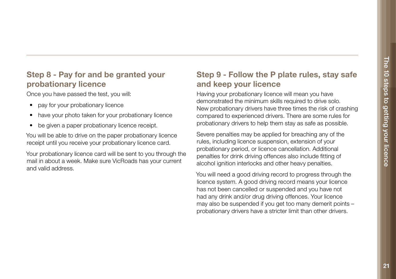# Step 8 - Pay for and be granted your probationary licence

Once you have passed the test, you will:

- pay for your probationary licence
- have your photo taken for your probationary licence
- be given a paper probationary licence receipt.

You will be able to drive on the paper probationary licence receipt until you receive your probationary licence card.

Your probationary licence card will be sent to you through the mail in about a week. Make sure VicRoads has your current and valid address.

# Step 9 - Follow the P plate rules, stay safe and keep your licence

and noop your noonco<br>Having your probationary licence will mean you have dernoristrated the minimum skills required to drive solo.<br>New probationary drivers have three times the risk of crashing demonstrated the minimum skills required to drive solo. compared to experienced drivers. There are some rules for probationary drivers to help them stay as safe as possible.

Severe penalties may be applied for breaching any of the rules, including licence suspension, extension of your probationary period, or licence cancellation. Additional penalties for drink driving offences also include fitting of alcohol ignition interlocks and other heavy penalties.

You will need a good driving record to progress through the licence system. A good driving record means your licence has not been cancelled or suspended and you have not had any drink and/or drug driving offences. Your licence may also be suspended if you get too many demerit points – probationary drivers have a stricter limit than other drivers.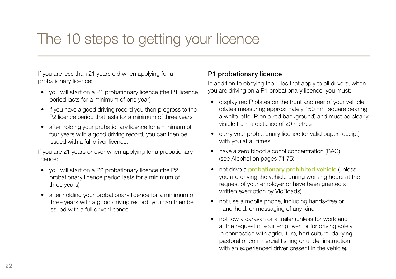If you are less than 21 years old when applying for a probationary licence:

- you will start on a P1 probationary licence (the P1 licence period lasts for a minimum of one year)
- if you have a good driving record you then progress to the P2 licence period that lasts for a minimum of three years
- after holding your probationary licence for a minimum of four years with a good driving record, you can then be issued with a full driver licence.

If you are 21 years or over when applying for a probationary licence:

- you will start on a P2 probationary licence (the P2 probationary licence period lasts for a minimum of three years)
- after holding your probationary licence for a minimum of three years with a good driving record, you can then be issued with a full driver licence.

### P1 probationary licence

In addition to obeying the rules that apply to all drivers, when you are driving on a P1 probationary licence, you must:

- display red P plates on the front and rear of your vehicle (plates measuring approximately 150 mm square bearing a white letter P on a red background) and must be clearly visible from a distance of 20 metres
- carry your probationary licence (or valid paper receipt) with you at all times
- have a zero blood alcohol concentration (BAC) (see Alcohol on pages 71-75)
- not drive a probationary prohibited vehicle (unless you are driving the vehicle during working hours at the request of your employer or have been granted a written exemption by VicRoads)
- not use a mobile phone, including hands-free or hand-held, or messaging of any kind
- not tow a caravan or a trailer (unless for work and at the request of your employer, or for driving solely in connection with agriculture, horticulture, dairying, pastoral or commercial fishing or under instruction with an experienced driver present in the vehicle).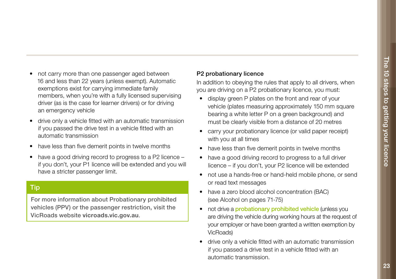- not carry more than one passenger aged between 16 and less than 22 years (unless exempt). Automatic exemptions exist for carrying immediate family members, when you're with a fully licensed supervising driver (as is the case for learner drivers) or for driving an emergency vehicle
- drive only a vehicle fitted with an automatic transmission if you passed the drive test in a vehicle fitted with an automatic transmission
- have less than five demerit points in twelve months
- have a good driving record to progress to a P2 licence if you don't, your P1 licence will be extended and you will have a stricter passenger limit.

### Tip

For more information about Probationary prohibited vehicles (PPV) or the passenger restriction, visit the VicRoads website vicroads.vic.gov.au.

#### P2 probationary licence

In addition to obeying the rules that apply to all drivers, when you are driving on a P2 probationary licence, you must:

- display green P plates on the front and rear of your vehicle (plates measuring approximately 150 mm square bearing a white letter P on a green background) and must be clearly visible from a distance of 20 metres
- carry your probationary licence (or valid paper receipt) with you at all times
- have less than five demerit points in twelve months
- have a good driving record to progress to a full driver licence – if you don't, your P2 licence will be extended
- not use a hands-free or hand-held mobile phone, or send or read text messages
- have a zero blood alcohol concentration (BAC) (see Alcohol on pages 71-75)
- not drive a **probationary prohibited vehicle** (unless you are driving the vehicle during working hours at the request of your employer or have been granted a written exemption by VicRoads)
- drive only a vehicle fitted with an automatic transmission if you passed a drive test in a vehicle fitted with an automatic transmission.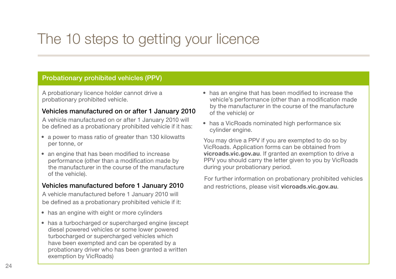### Probationary prohibited vehicles (PPV)

A probationary licence holder cannot drive a probationary prohibited vehicle.

### Vehicles manufactured on or after 1 January 2010

A vehicle manufactured on or after 1 January 2010 will be defined as a probationary prohibited vehicle if it has:

- a power to mass ratio of greater than 130 kilowatts per tonne, or
- an engine that has been modified to increase performance (other than a modification made by the manufacturer in the course of the manufacture of the vehicle).

### Vehicles manufactured before 1 January 2010

A vehicle manufactured before 1 January 2010 will be defined as a probationary prohibited vehicle if it:

- has an engine with eight or more cylinders
- has a turbocharged or supercharged engine (except diesel powered vehicles or some lower powered turbocharged or supercharged vehicles which have been exempted and can be operated by a probationary driver who has been granted a written exemption by VicRoads)
- has an engine that has been modified to increase the vehicle's performance (other than a modification made by the manufacturer in the course of the manufacture of the vehicle) or
- has a VicRoads nominated high performance six cylinder engine.

You may drive a PPV if you are exempted to do so by VicRoads. Application forms can be obtained from vicroads.vic.gov.au. If granted an exemption to drive a PPV you should carry the letter given to you by VicRoads during your probationary period.

For further information on probationary prohibited vehicles and restrictions, please visit vicroads.vic.gov.au.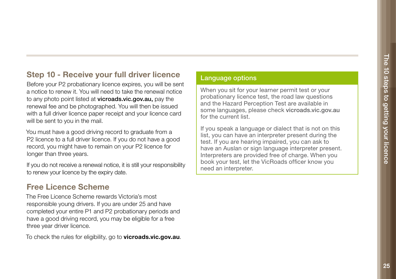# Step 10 - Receive your full driver licence

Before your P2 probationary licence expires, you will be sent a notice to renew it. You will need to take the renewal notice to any photo point listed at vicroads.vic.gov.au, pay the renewal fee and be photographed. You will then be issued with a full driver licence paper receipt and your licence card will be sent to you in the mail.

You must have a good driving record to graduate from a P2 licence to a full driver licence. If you do not have a good record, you might have to remain on your P2 licence for longer than three years.

If you do not receive a renewal notice, it is still your responsibility to renew your licence by the expiry date.

# Free Licence Scheme

The Free Licence Scheme rewards Victoria's most responsible young drivers. If you are under 25 and have completed your entire P1 and P2 probationary periods and have a good driving record, you may be eligible for a free three year driver licence.

To check the rules for eligibility, go to **vicroads.vic.gov.au**.

### Language options

When you sit for your learner permit test or your probationary licence test, the road law questions and the Hazard Perception Test are available in some languages, please check vicroads.vic.gov.au for the current list.

If you speak a language or dialect that is not on this list, you can have an interpreter present during the test. If you are hearing impaired, you can ask to have an Auslan or sign language interpreter present. Interpreters are provided free of charge. When you book your test, let the VicRoads officer know you need an interpreter.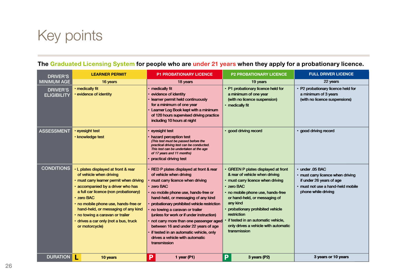# Key points

| <b>DRIVER'S</b>                       | <b>LEARNER PERMIT</b>                                                                                                                                                                                                                                                                                                                                                                 | <b>P1 PROBATIONARY LICENCE</b>                                                                                                                                                                                                                                                                                                                                                                                                                                                                                  | <b>P2 PROBATIONARY LICENCE</b>                                                                                                                                                                                                                                                                                                                               | <b>FULL DRIVER LICENCE</b>                                                                                                                   |
|---------------------------------------|---------------------------------------------------------------------------------------------------------------------------------------------------------------------------------------------------------------------------------------------------------------------------------------------------------------------------------------------------------------------------------------|-----------------------------------------------------------------------------------------------------------------------------------------------------------------------------------------------------------------------------------------------------------------------------------------------------------------------------------------------------------------------------------------------------------------------------------------------------------------------------------------------------------------|--------------------------------------------------------------------------------------------------------------------------------------------------------------------------------------------------------------------------------------------------------------------------------------------------------------------------------------------------------------|----------------------------------------------------------------------------------------------------------------------------------------------|
| <b>MINIMUM AGE</b>                    | 16 years                                                                                                                                                                                                                                                                                                                                                                              | 18 years                                                                                                                                                                                                                                                                                                                                                                                                                                                                                                        | 19 years                                                                                                                                                                                                                                                                                                                                                     | 22 years                                                                                                                                     |
| <b>DRIVER'S</b><br><b>ELIGIBILITY</b> | · medically fit<br>· evidence of identity                                                                                                                                                                                                                                                                                                                                             | · medically fit<br>evidence of identity<br>learner permit held continuously<br>for a minimum of one year<br>Learner Log Book kept with a minimum<br>of 120 hours supervised driving practice<br>including 10 hours at night                                                                                                                                                                                                                                                                                     | • P1 probationary licence held for<br>a minimum of one year<br>(with no licence suspension)<br>• medically fit                                                                                                                                                                                                                                               | · P2 probationary licence held for<br>a minimum of 3 years<br>(with no licence suspensions)                                                  |
| <b>ASSESSMENT</b>                     | · eyesight test<br>· knowledge test                                                                                                                                                                                                                                                                                                                                                   | eyesight test<br>hazard perception test<br>(This test must be passed before the<br>practical driving test can be conducted.<br>This test can be undertaken at the age<br>of 17 years and 11 months)<br>practical driving test                                                                                                                                                                                                                                                                                   | · good driving record                                                                                                                                                                                                                                                                                                                                        | · good driving record                                                                                                                        |
| <b>CONDITIONS</b>                     | • L plates displayed at front & rear<br>of vehicle when driving<br>· must carry learner permit when driving<br>· accompanied by a driver who has<br>a full car licence (non probationary)<br>· zero BAC<br>· no mobile phone use, hands-free or<br>hand-held, or messaging of any kind<br>· no towing a caravan or trailer<br>· drives a car only (not a bus, truck<br>or motorcycle) | · RED P plates displayed at front & rear<br>of vehicle when driving<br>must carry licence when driving<br>· zero BAC<br>no mobile phone use, hands-free or<br>hand-held, or messaging of any kind<br>probationary prohibited vehicle restriction<br>no towing a caravan or trailer<br>(unless for work or if under instruction)<br>not carry more than one passenger aged<br>between 16 and under 22 years of age<br>if tested in an automatic vehicle, only<br>drives a vehicle with automatic<br>transmission | • GREEN P plates displayed at front<br>& rear of vehicle when driving<br>• must carry licence when driving<br>· zero BAC<br>· no mobile phone use, hands-free<br>or hand-held, or messaging of<br>any kind<br>· probationary prohibited vehicle<br>restriction<br>if tested in an automatic vehicle,<br>only drives a vehicle with automatic<br>transmission | · under .05 BAC<br>· must carry licence when driving<br>if under 26 years of age<br>· must not use a hand-held mobile<br>phone while driving |
| <b>DURATION</b>                       | 10 years                                                                                                                                                                                                                                                                                                                                                                              | Р<br>1 year ( $P1$ )                                                                                                                                                                                                                                                                                                                                                                                                                                                                                            | P<br>3 years (P2)                                                                                                                                                                                                                                                                                                                                            | 3 years or 10 years                                                                                                                          |

### The Graduated Licensing System for people who are under 21 years when they apply for a probationary licence.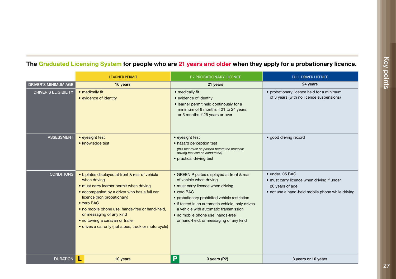|                             | <b>LEARNER PERMIT</b>                                                                                                                                                                                                                                                                                                                                                              | <b>P2 PROBATIONARY LICENCE</b>                                                                                                                                                                                                                                                                                                                                | <b>FULL DRIVER LICENCE</b>                                                                                                                   |
|-----------------------------|------------------------------------------------------------------------------------------------------------------------------------------------------------------------------------------------------------------------------------------------------------------------------------------------------------------------------------------------------------------------------------|---------------------------------------------------------------------------------------------------------------------------------------------------------------------------------------------------------------------------------------------------------------------------------------------------------------------------------------------------------------|----------------------------------------------------------------------------------------------------------------------------------------------|
| <b>DRIVER'S MINIMUM AGE</b> | 16 years                                                                                                                                                                                                                                                                                                                                                                           | 21 years                                                                                                                                                                                                                                                                                                                                                      | 24 years                                                                                                                                     |
| <b>DRIVER'S ELIGIBILITY</b> | • medically fit<br>• evidence of identity                                                                                                                                                                                                                                                                                                                                          | • medically fit<br>• evidence of identity<br>· learner permit held continously for a<br>minimum of 6 months if 21 to 24 years,<br>or 3 months if 25 years or over                                                                                                                                                                                             | • probationary licence held for a minimum<br>of 3 years (with no licence suspensions)                                                        |
| <b>ASSESSMENT</b>           | • eyesight test<br>• knowledge test                                                                                                                                                                                                                                                                                                                                                | • eyesight test<br>• hazard perception test<br>(this test must be passed before the practical<br>driving test can be conducted)<br>• practical driving test                                                                                                                                                                                                   | · good driving record                                                                                                                        |
| <b>CONDITIONS</b>           | • L plates displayed at front & rear of vehicle<br>when driving<br>• must carry learner permit when driving<br>• accompanied by a driver who has a full car<br>licence (non probationary)<br>• zero BAC<br>· no mobile phone use, hands-free or hand-held,<br>or messaging of any kind<br>· no towing a caravan or trailer<br>· drives a car only (not a bus, truck or motorcycle) | • GREEN P plates displayed at front & rear<br>of vehicle when driving<br>• must carry licence when driving<br>$\bullet$ zero BAC<br>• probationary prohibited vehicle restriction<br>• if tested in an automatic vehicle, only drives<br>a vehicle with automatic transmission<br>• no mobile phone use, hands-free<br>or hand-held, or messaging of any kind | $\bullet$ under .05 BAC<br>• must carry licence when driving if under<br>26 years of age<br>• not use a hand-held mobile phone while driving |
| <b>DURATION</b>             | 10 years                                                                                                                                                                                                                                                                                                                                                                           | P<br>3 years (P2)                                                                                                                                                                                                                                                                                                                                             | 3 years or 10 years                                                                                                                          |
|                             |                                                                                                                                                                                                                                                                                                                                                                                    |                                                                                                                                                                                                                                                                                                                                                               |                                                                                                                                              |

### The Graduated Licensing System for people who are 21 years and older when they apply for a probationary licence.